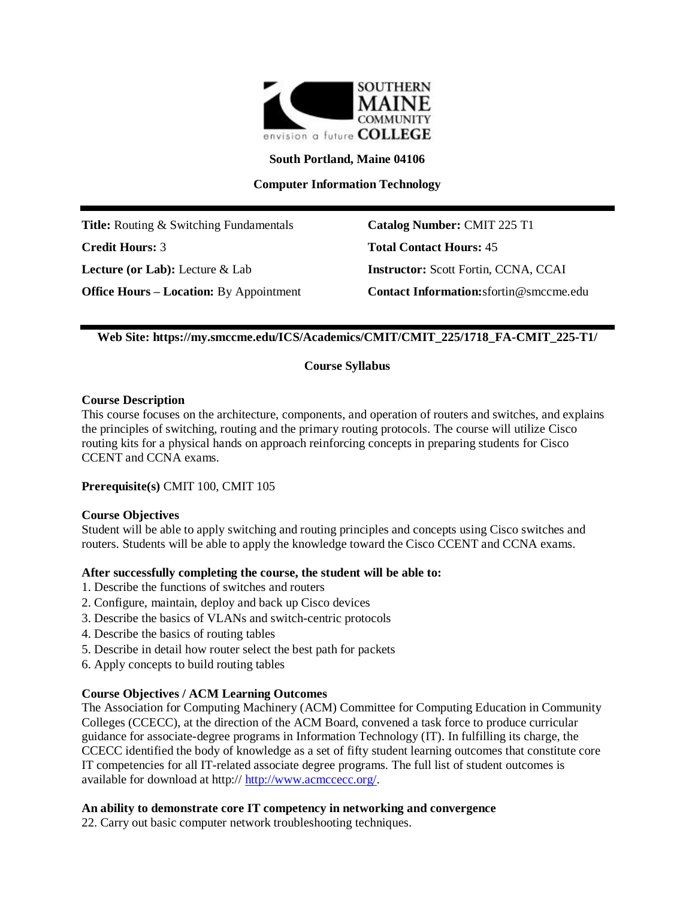

**South Portland, Maine 04106**

**Computer Information Technology**

**Title:** Routing & Switching Fundamentals **Catalog Number:** CMIT 225 T1 **Credit Hours:** 3 **Total Contact Hours:** 45 **Lecture (or Lab):** Lecture & Lab **Instructor:** Scott Fortin, CCNA, CCAI

**Office Hours – Location:** By Appointment **Contact Information:**sfortin@smccme.edu

# **Web Site: https://my.smccme.edu/ICS/Academics/CMIT/CMIT\_225/1718\_FA-CMIT\_225-T1/**

## **Course Syllabus**

## **Course Description**

This course focuses on the architecture, components, and operation of routers and switches, and explains the principles of switching, routing and the primary routing protocols. The course will utilize Cisco routing kits for a physical hands on approach reinforcing concepts in preparing students for Cisco CCENT and CCNA exams.

**Prerequisite(s)** CMIT 100, CMIT 105

## **Course Objectives**

Student will be able to apply switching and routing principles and concepts using Cisco switches and routers. Students will be able to apply the knowledge toward the Cisco CCENT and CCNA exams.

## **After successfully completing the course, the student will be able to:**

- 1. Describe the functions of switches and routers
- 2. Configure, maintain, deploy and back up Cisco devices
- 3. Describe the basics of VLANs and switch-centric protocols
- 4. Describe the basics of routing tables
- 5. Describe in detail how router select the best path for packets
- 6. Apply concepts to build routing tables

# **Course Objectives / ACM Learning Outcomes**

The Association for Computing Machinery (ACM) Committee for Computing Education in Community Colleges (CCECC), at the direction of the ACM Board, convened a task force to produce curricular guidance for associate-degree programs in Information Technology (IT). In fulfilling its charge, the CCECC identified the body of knowledge as a set of fifty student learning outcomes that constitute core IT competencies for all IT-related associate degree programs. The full list of student outcomes is available for download at http:// [http://www.acmccecc.org/.](http://www.acmccecc.org/)

## **An ability to demonstrate core IT competency in networking and convergence**

22. Carry out basic computer network troubleshooting techniques.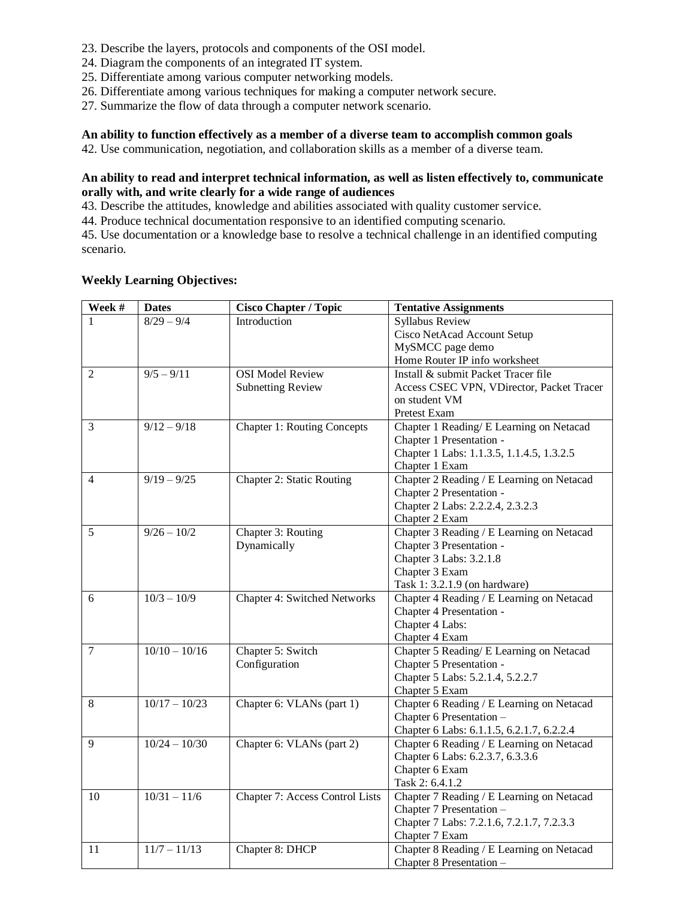- 23. Describe the layers, protocols and components of the OSI model.
- 24. Diagram the components of an integrated IT system.
- 25. Differentiate among various computer networking models.
- 26. Differentiate among various techniques for making a computer network secure.
- 27. Summarize the flow of data through a computer network scenario.

### **An ability to function effectively as a member of a diverse team to accomplish common goals**

42. Use communication, negotiation, and collaboration skills as a member of a diverse team.

## **An ability to read and interpret technical information, as well as listen effectively to, communicate orally with, and write clearly for a wide range of audiences**

43. Describe the attitudes, knowledge and abilities associated with quality customer service.

44. Produce technical documentation responsive to an identified computing scenario.

45. Use documentation or a knowledge base to resolve a technical challenge in an identified computing scenario.

## **Weekly Learning Objectives:**

| Week #         | <b>Dates</b>    | <b>Cisco Chapter / Topic</b>       | <b>Tentative Assignments</b>              |
|----------------|-----------------|------------------------------------|-------------------------------------------|
|                | $8/29 - 9/4$    | Introduction                       | <b>Syllabus Review</b>                    |
|                |                 |                                    | Cisco NetAcad Account Setup               |
|                |                 |                                    | MySMCC page demo                          |
|                |                 |                                    | Home Router IP info worksheet             |
| $\overline{2}$ | $9/5 - 9/11$    | <b>OSI</b> Model Review            | Install & submit Packet Tracer file       |
|                |                 | <b>Subnetting Review</b>           | Access CSEC VPN, VDirector, Packet Tracer |
|                |                 |                                    | on student VM                             |
|                |                 |                                    | Pretest Exam                              |
| 3              | $9/12 - 9/18$   | <b>Chapter 1: Routing Concepts</b> | Chapter 1 Reading/ E Learning on Netacad  |
|                |                 |                                    | Chapter 1 Presentation -                  |
|                |                 |                                    | Chapter 1 Labs: 1.1.3.5, 1.1.4.5, 1.3.2.5 |
|                |                 |                                    | Chapter 1 Exam                            |
| 4              | $9/19 - 9/25$   | <b>Chapter 2: Static Routing</b>   | Chapter 2 Reading / E Learning on Netacad |
|                |                 |                                    | Chapter 2 Presentation -                  |
|                |                 |                                    | Chapter 2 Labs: 2.2.2.4, 2.3.2.3          |
|                |                 |                                    | Chapter 2 Exam                            |
| 5              | $9/26 - 10/2$   | Chapter 3: Routing                 | Chapter 3 Reading / E Learning on Netacad |
|                |                 | Dynamically                        | Chapter 3 Presentation -                  |
|                |                 |                                    | Chapter 3 Labs: 3.2.1.8                   |
|                |                 |                                    | Chapter 3 Exam                            |
|                |                 |                                    | Task 1: 3.2.1.9 (on hardware)             |
| 6              | $10/3 - 10/9$   | Chapter 4: Switched Networks       | Chapter 4 Reading / E Learning on Netacad |
|                |                 |                                    | Chapter 4 Presentation -                  |
|                |                 |                                    | Chapter 4 Labs:                           |
|                |                 |                                    | Chapter 4 Exam                            |
| $\tau$         | $10/10 - 10/16$ | Chapter 5: Switch                  | Chapter 5 Reading/ E Learning on Netacad  |
|                |                 | Configuration                      | Chapter 5 Presentation -                  |
|                |                 |                                    | Chapter 5 Labs: 5.2.1.4, 5.2.2.7          |
|                |                 |                                    | Chapter 5 Exam                            |
| 8              | $10/17 - 10/23$ | Chapter 6: VLANs (part 1)          | Chapter 6 Reading / E Learning on Netacad |
|                |                 |                                    | Chapter 6 Presentation -                  |
|                |                 |                                    | Chapter 6 Labs: 6.1.1.5, 6.2.1.7, 6.2.2.4 |
| 9              | $10/24 - 10/30$ | Chapter 6: VLANs (part 2)          | Chapter 6 Reading / E Learning on Netacad |
|                |                 |                                    | Chapter 6 Labs: 6.2.3.7, 6.3.3.6          |
|                |                 |                                    | Chapter 6 Exam                            |
|                |                 |                                    | Task 2: 6.4.1.2                           |
| 10             | $10/31 - 11/6$  | Chapter 7: Access Control Lists    | Chapter 7 Reading / E Learning on Netacad |
|                |                 |                                    | Chapter 7 Presentation -                  |
|                |                 |                                    | Chapter 7 Labs: 7.2.1.6, 7.2.1.7, 7.2.3.3 |
|                |                 |                                    | Chapter 7 Exam                            |
| 11             | $11/7 - 11/13$  | Chapter 8: DHCP                    | Chapter 8 Reading / E Learning on Netacad |
|                |                 |                                    | Chapter 8 Presentation -                  |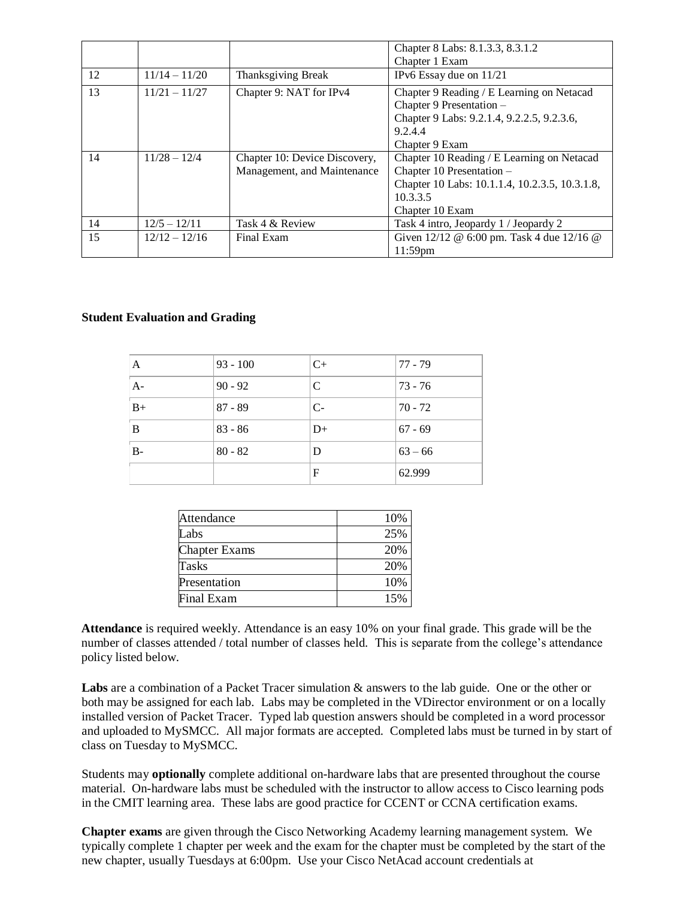|    |                 |                               | Chapter 8 Labs: 8.1.3.3, 8.3.1.2               |
|----|-----------------|-------------------------------|------------------------------------------------|
|    |                 |                               | Chapter 1 Exam                                 |
| 12 | $11/14 - 11/20$ | Thanksgiving Break            | IPv6 Essay due on 11/21                        |
| 13 | $11/21 - 11/27$ | Chapter 9: NAT for IPv4       | Chapter 9 Reading / E Learning on Netacad      |
|    |                 |                               | Chapter 9 Presentation -                       |
|    |                 |                               | Chapter 9 Labs: 9.2.1.4, 9.2.2.5, 9.2.3.6,     |
|    |                 |                               | 9.2.4.4                                        |
|    |                 |                               | Chapter 9 Exam                                 |
| 14 | $11/28 - 12/4$  | Chapter 10: Device Discovery, | Chapter 10 Reading / E Learning on Netacad     |
|    |                 | Management, and Maintenance   | Chapter 10 Presentation -                      |
|    |                 |                               | Chapter 10 Labs: 10.1.1.4, 10.2.3.5, 10.3.1.8, |
|    |                 |                               | 10.3.3.5                                       |
|    |                 |                               | Chapter 10 Exam                                |
| 14 | $12/5 - 12/11$  | Task 4 & Review               | Task 4 intro, Jeopardy 1 / Jeopardy 2          |
| 15 | $12/12 - 12/16$ | Final Exam                    | Given 12/12 @ 6:00 pm. Task 4 due 12/16 @      |
|    |                 |                               | $11:59$ pm                                     |

## **Student Evaluation and Grading**

| $\mathbf{A}$ | $93 - 100$ | $C+$ | $77 - 79$ |
|--------------|------------|------|-----------|
| $A-$         | $90 - 92$  | C    | $73 - 76$ |
| $B+$         | $87 - 89$  | $C-$ | $70 - 72$ |
| B            | $83 - 86$  | $D+$ | $67 - 69$ |
| $B-$         | $80 - 82$  | D    | $63 - 66$ |
|              |            | F    | 62.999    |

| Attendance           | 10% |
|----------------------|-----|
| Labs                 | 25% |
| <b>Chapter Exams</b> | 20% |
| Tasks                | 20% |
| Presentation         | 10% |
| Final Exam           | 15% |

**Attendance** is required weekly. Attendance is an easy 10% on your final grade. This grade will be the number of classes attended / total number of classes held. This is separate from the college's attendance policy listed below.

**Labs** are a combination of a Packet Tracer simulation & answers to the lab guide. One or the other or both may be assigned for each lab. Labs may be completed in the VDirector environment or on a locally installed version of Packet Tracer. Typed lab question answers should be completed in a word processor and uploaded to MySMCC. All major formats are accepted. Completed labs must be turned in by start of class on Tuesday to MySMCC.

Students may **optionally** complete additional on-hardware labs that are presented throughout the course material. On-hardware labs must be scheduled with the instructor to allow access to Cisco learning pods in the CMIT learning area. These labs are good practice for CCENT or CCNA certification exams.

**Chapter exams** are given through the Cisco Networking Academy learning management system. We typically complete 1 chapter per week and the exam for the chapter must be completed by the start of the new chapter, usually Tuesdays at 6:00pm. Use your Cisco NetAcad account credentials at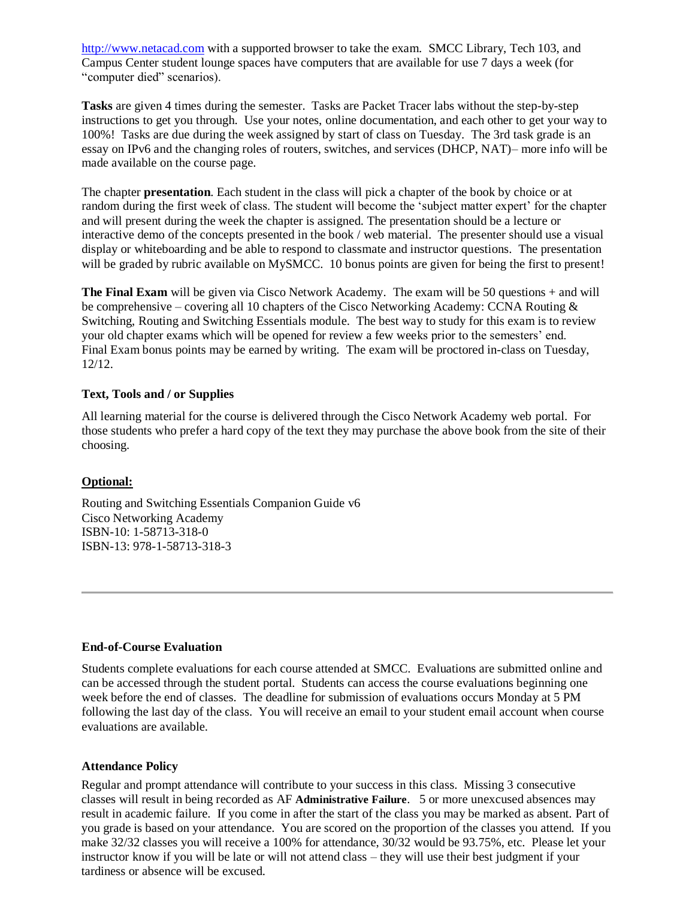[http://www.netacad.com](http://www.netacad.com/) with a supported browser to take the exam. SMCC Library, Tech 103, and Campus Center student lounge spaces have computers that are available for use 7 days a week (for "computer died" scenarios).

**Tasks** are given 4 times during the semester. Tasks are Packet Tracer labs without the step-by-step instructions to get you through. Use your notes, online documentation, and each other to get your way to 100%! Tasks are due during the week assigned by start of class on Tuesday. The 3rd task grade is an essay on IPv6 and the changing roles of routers, switches, and services (DHCP, NAT)– more info will be made available on the course page.

The chapter **presentation**. Each student in the class will pick a chapter of the book by choice or at random during the first week of class. The student will become the 'subject matter expert' for the chapter and will present during the week the chapter is assigned. The presentation should be a lecture or interactive demo of the concepts presented in the book / web material. The presenter should use a visual display or whiteboarding and be able to respond to classmate and instructor questions. The presentation will be graded by rubric available on MySMCC. 10 bonus points are given for being the first to present!

**The Final Exam** will be given via Cisco Network Academy. The exam will be 50 questions + and will be comprehensive – covering all 10 chapters of the Cisco Networking Academy: CCNA Routing & Switching, Routing and Switching Essentials module. The best way to study for this exam is to review your old chapter exams which will be opened for review a few weeks prior to the semesters' end. Final Exam bonus points may be earned by writing. The exam will be proctored in-class on Tuesday, 12/12.

## **Text, Tools and / or Supplies**

All learning material for the course is delivered through the Cisco Network Academy web portal. For those students who prefer a hard copy of the text they may purchase the above book from the site of their choosing.

## **Optional:**

Routing and Switching Essentials Companion Guide v6 Cisco Networking Academy ISBN-10: 1-58713-318-0 ISBN-13: 978-1-58713-318-3

#### **End-of-Course Evaluation**

Students complete evaluations for each course attended at SMCC. Evaluations are submitted online and can be accessed through the student portal. Students can access the course evaluations beginning one week before the end of classes. The deadline for submission of evaluations occurs Monday at 5 PM following the last day of the class. You will receive an email to your student email account when course evaluations are available.

#### **Attendance Policy**

Regular and prompt attendance will contribute to your success in this class. Missing 3 consecutive classes will result in being recorded as AF **Administrative Failure**. 5 or more unexcused absences may result in academic failure. If you come in after the start of the class you may be marked as absent. Part of you grade is based on your attendance. You are scored on the proportion of the classes you attend. If you make 32/32 classes you will receive a 100% for attendance, 30/32 would be 93.75%, etc. Please let your instructor know if you will be late or will not attend class – they will use their best judgment if your tardiness or absence will be excused.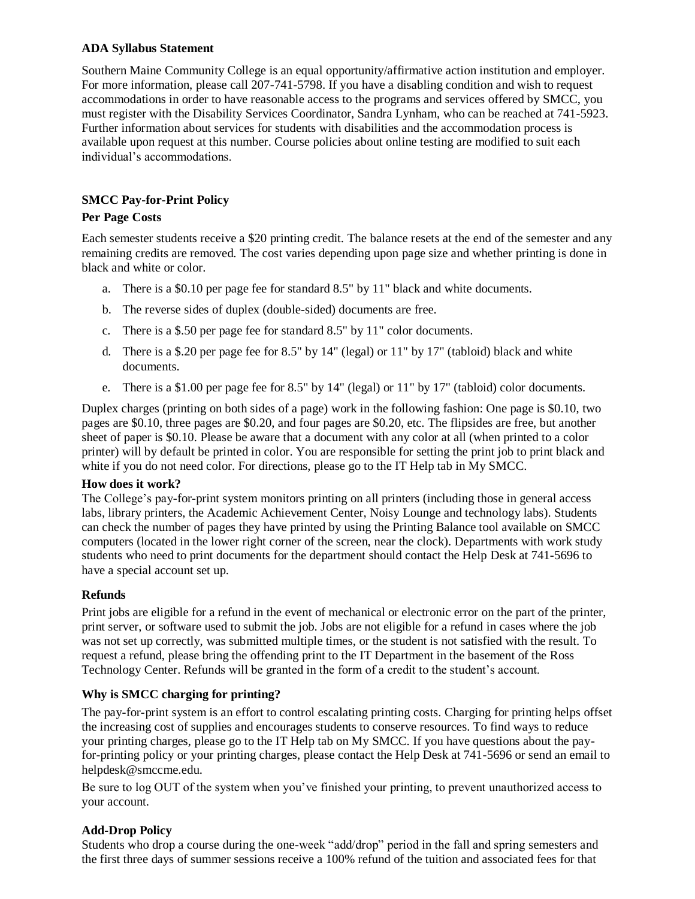## **ADA Syllabus Statement**

Southern Maine Community College is an equal opportunity/affirmative action institution and employer. For more information, please call 207-741-5798. If you have a disabling condition and wish to request accommodations in order to have reasonable access to the programs and services offered by SMCC, you must register with the Disability Services Coordinator, Sandra Lynham, who can be reached at 741-5923. Further information about services for students with disabilities and the accommodation process is available upon request at this number. Course policies about online testing are modified to suit each individual's accommodations.

# **SMCC Pay-for-Print Policy**

## **Per Page Costs**

Each semester students receive a \$20 printing credit. The balance resets at the end of the semester and any remaining credits are removed. The cost varies depending upon page size and whether printing is done in black and white or color.

- a. There is a \$0.10 per page fee for standard 8.5" by 11" black and white documents.
- b. The reverse sides of duplex (double-sided) documents are free.
- c. There is a \$.50 per page fee for standard 8.5" by 11" color documents.
- d. There is a \$.20 per page fee for 8.5" by  $14"$  (legal) or  $11"$  by  $17"$  (tabloid) black and white documents.
- e. There is a \$1.00 per page fee for 8.5" by 14" (legal) or 11" by 17" (tabloid) color documents.

Duplex charges (printing on both sides of a page) work in the following fashion: One page is \$0.10, two pages are \$0.10, three pages are \$0.20, and four pages are \$0.20, etc. The flipsides are free, but another sheet of paper is \$0.10. Please be aware that a document with any color at all (when printed to a color printer) will by default be printed in color. You are responsible for setting the print job to print black and white if you do not need color. For directions, please go to the IT Help tab in My SMCC.

## **How does it work?**

The College's pay-for-print system monitors printing on all printers (including those in general access labs, library printers, the Academic Achievement Center, Noisy Lounge and technology labs). Students can check the number of pages they have printed by using the Printing Balance tool available on SMCC computers (located in the lower right corner of the screen, near the clock). Departments with work study students who need to print documents for the department should contact the Help Desk at 741-5696 to have a special account set up.

## **Refunds**

Print jobs are eligible for a refund in the event of mechanical or electronic error on the part of the printer, print server, or software used to submit the job. Jobs are not eligible for a refund in cases where the job was not set up correctly, was submitted multiple times, or the student is not satisfied with the result. To request a refund, please bring the offending print to the IT Department in the basement of the Ross Technology Center. Refunds will be granted in the form of a credit to the student's account.

## **Why is SMCC charging for printing?**

The pay-for-print system is an effort to control escalating printing costs. Charging for printing helps offset the increasing cost of supplies and encourages students to conserve resources. To find ways to reduce your printing charges, please go to the IT Help tab on My SMCC. If you have questions about the payfor-printing policy or your printing charges, please contact the Help Desk at 741-5696 or send an email to helpdesk@smccme.edu.

Be sure to log OUT of the system when you've finished your printing, to prevent unauthorized access to your account.

## **Add-Drop Policy**

Students who drop a course during the one-week "add/drop" period in the fall and spring semesters and the first three days of summer sessions receive a 100% refund of the tuition and associated fees for that